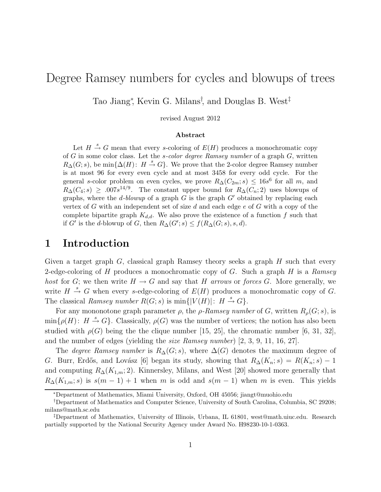# Degree Ramsey numbers for cycles and blowups of trees

Tao Jiang<sup>∗</sup> , Kevin G. Milans† , and Douglas B. West‡

revised August 2012

#### Abstract

Let  $H \stackrel{s}{\rightarrow} G$  mean that every s-coloring of  $E(H)$  produces a monochromatic copy of  $G$  in some color class. Let the *s-color degree Ramsey number* of a graph  $G$ , written  $R_{\Delta}(G; s)$ , be min $\{\Delta(H): H \stackrel{s}{\rightarrow} G\}$ . We prove that the 2-color degree Ramsey number is at most 96 for every even cycle and at most 3458 for every odd cycle. For the general s-color problem on even cycles, we prove  $R_{\Delta}(C_{2m}; s) \leq 16s^6$  for all m, and  $R_{\Delta}(C_4; s) \geq .007s^{14/9}$ . The constant upper bound for  $R_{\Delta}(C_n; 2)$  uses blowups of graphs, where the  $d$ -blowup of a graph  $G$  is the graph  $G'$  obtained by replacing each vertex of G with an independent set of size d and each edge e of G with a copy of the complete bipartite graph  $K_{d,d}$ . We also prove the existence of a function f such that if G' is the d-blowup of G, then  $R_{\Delta}(G'; s) \le f(R_{\Delta}(G; s), s, d)$ .

## 1 Introduction

Given a target graph  $G$ , classical graph Ramsey theory seeks a graph  $H$  such that every 2-edge-coloring of H produces a monochromatic copy of G. Such a graph H is a Ramsey host for G; we then write  $H \to G$  and say that H arrows or forces G. More generally, we write  $H \stackrel{s}{\rightarrow} G$  when every s-edge-coloring of  $E(H)$  produces a monochromatic copy of G. The classical *Ramsey number*  $R(G; s)$  is  $\min\{|V(H)|: H \stackrel{s}{\rightarrow} G\}.$ 

For any mononotone graph parameter  $\rho$ , the  $\rho$ -Ramsey number of G, written  $R_{\rho}(G; s)$ , is  $\min\{\rho(H): H \stackrel{s}{\rightarrow} G\}.$  Classically,  $\rho(G)$  was the number of vertices; the notion has also been studied with  $\rho(G)$  being the the clique number [15, 25], the chromatic number [6, 31, 32], and the number of edges (yielding the *size Ramsey number*)  $[2, 3, 9, 11, 16, 27]$ .

The *degree Ramsey number* is  $R_{\Delta}(G; s)$ , where  $\Delta(G)$  denotes the maximum degree of G. Burr, Erdős, and Lovász [6] began its study, showing that  $R_{\Delta}(K_n; s) = R(K_n; s) - 1$ and computing  $R_{\Delta}(K_{1,m};2)$ . Kinnersley, Milans, and West [20] showed more generally that  $R_{\Delta}(K_{1,m}; s)$  is  $s(m-1)+1$  when m is odd and  $s(m-1)$  when m is even. This yields

<sup>∗</sup>Department of Mathematics, Miami University, Oxford, OH 45056; jiangt@muohio.edu

<sup>†</sup>Department of Mathematics and Computer Science, University of South Carolina, Columbia, SC 29208; milans@math.sc.edu

<sup>‡</sup>Department of Mathematics, University of Illinois, Urbana, IL 61801, west@math.uiuc.edu. Research partially supported by the National Security Agency under Award No. H98230-10-1-0363.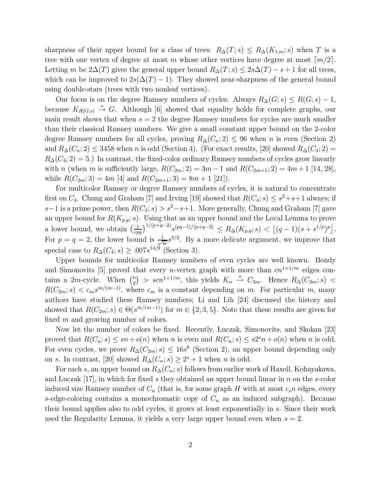sharpness of their upper bound for a class of trees:  $R_{\Delta}(T;s) \leq R_{\Delta}(K_{1,m};s)$  when T is a tree with one vertex of degree at most m whose other vertices have degree at most  $\lceil m/2 \rceil$ . Letting m be  $2\Delta(T)$  gives the general upper bound  $R_{\Delta}(T; s) \leq 2s\Delta(T) - s + 1$  for all trees, which can be improved to  $2s(\Delta(T)-1)$ . They showed near-sharpness of the general bound using double-stars (trees with two nonleaf vertices).

Our focus is on the degree Ramsey numbers of cycles. Always  $R_{\Delta}(G; s) \leq R(G; s) - 1$ , because  $K_{R(G;s)} \stackrel{s}{\rightarrow} G$ . Although [6] showed that equality holds for complete graphs, our main result shows that when  $s = 2$  the degree Ramsey numbers for cycles are much smaller than their classical Ramsey numbers. We give a small constant upper bound on the 2-color degree Ramsey numbers for all cycles, proving  $R_{\Delta}(C_n; 2) \leq 96$  when n is even (Section 2) and  $R_{\Delta}(C_n; 2) \leq 3458$  when n is odd (Section 4). (For exact results, [20] showed  $R_{\Delta}(C_3; 2)$  =  $R_{\Delta}(C_4; 2) = 5.$ ) In contrast, the fixed-color ordinary Ramsey numbers of cycles grow linearly with n (when m is sufficiently large,  $R(C_{2m}; 2) = 3m - 1$  and  $R(C_{2m+1}; 2) = 4m + 1$  [14, 28], while  $R(C_{2m}; 3) = 4m$  [4] and  $R(C_{2m+1}; 3) = 8m + 1$  [21]).

For multicolor Ramsey or degree Ramsey numbers of cycles, it is natural to concentrate first on  $C_4$ . Chung and Graham [7] and Irving [19] showed that  $R(C_4; s) \leq s^2 + s + 1$  always; if s−1 is a prime power, then  $R(C_4; s) > s^2-s+1$ . More generally, Chung and Graham [7] gave an upper bound for  $R(K_{p,q}; s)$ . Using that as an upper bound and the Local Lemma to prove a lower bound, we obtain  $\left(\frac{1}{en}\right)$  $\frac{1}{\sqrt{npq}})^{1/(p+q-2)} s^{(pq-1)/(p+q-2)} \leq R_{\Delta}(K_{p,q}; s) < \left\lfloor (q-1)(s+s^{1/p})^p \right\rfloor.$ For  $p = q = 2$ , the lower bound is  $\frac{1}{\sqrt{2}}$  $\frac{1}{4e} s^{3/2}$ . By a more delicate argument, we improve that special case to  $R_{\Delta}(C_4; s) \geq .007s^{14/9}$  (Section 3).

Upper bounds for multicolor Ramsey numbers of even cycles are well known. Bondy and Simonovits [5] proved that every *n*-vertex graph with more than  $cn^{1+1/m}$  edges contains a 2*m*-cycle. When  $\binom{n}{2}$  $\binom{n}{2}$  > scn<sup>1+1/m</sup>, this yields  $K_n \stackrel{s}{\rightarrow} C_{2m}$ . Hence  $R_{\Delta}(C_{2m}; s)$  <  $R(C_{2m}; s) < c_m s^{m/(m-1)}$ , where  $c_m$  is a constant depending on m. For particular m, many authors have studied these Ramsey numbers; Li and Lih [24] discussed the history and showed that  $R(C_{2m}; s) \in \Theta(s^{m/(m-1)})$  for  $m \in \{2, 3, 5\}$ . Note that these results are given for fixed m and growing number of colors.

Now let the number of colors be fixed. Recently, Luczak, Simonovits, and Skokan [23] proved that  $R(C_n; s) \leq sn + o(n)$  when n is even and  $R(C_n; s) \leq s2^s n + o(n)$  when n is odd. For even cycles, we prove  $R_{\Delta}(C_{2m}; s) \leq 16s^6$  (Section 2), an upper bound depending only on s. In contrast, [20] showed  $R_{\Delta}(C_n; s) \geq 2^s + 1$  when n is odd.

For each s, an upper bound on  $R_{\Delta}(C_n; s)$  follows from earlier work of Haxell, Kohayakawa, and Luczak  $[17]$ , in which for fixed s they obtained an upper bound linear in n on the s-color induced size Ramsey number of  $C_n$  (that is, for some graph H with at most  $c_s n$  edges, every s-edge-coloring contains a monochromatic copy of  $C_n$  as an induced subgraph). Because their bound applies also to odd cycles, it grows at least exponentially in s. Since their work used the Regularity Lemma, it yields a very large upper bound even when  $s = 2$ .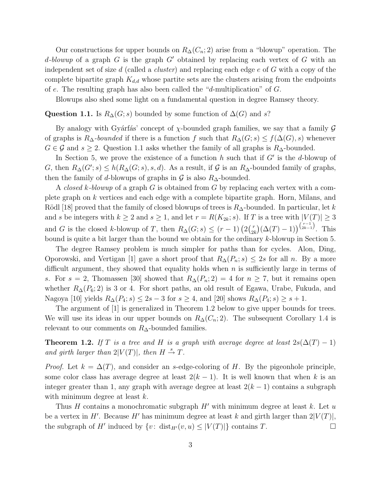Our constructions for upper bounds on  $R_{\Delta}(C_n; 2)$  arise from a "blowup" operation. The d-blowup of a graph G is the graph  $G'$  obtained by replacing each vertex of G with an independent set of size d (called a *cluster*) and replacing each edge  $e$  of  $G$  with a copy of the complete bipartite graph  $K_{d,d}$  whose partite sets are the clusters arising from the endpoints of e. The resulting graph has also been called the "d-multiplication" of  $G$ .

Blowups also shed some light on a fundamental question in degree Ramsey theory.

#### Question 1.1. Is  $R_{\Delta}(G; s)$  bounded by some function of  $\Delta(G)$  and s?

By analogy with Gyárfás' concept of  $\chi$ -bounded graph families, we say that a family  $\mathcal G$ of graphs is  $R_{\Delta}$ -bounded if there is a function f such that  $R_{\Delta}(G; s) \leq f(\Delta(G), s)$  whenever  $G \in \mathcal{G}$  and  $s \geq 2$ . Question 1.1 asks whether the family of all graphs is  $R_{\Delta}$ -bounded.

In Section 5, we prove the existence of a function h such that if  $G'$  is the d-blowup of G, then  $R_{\Delta}(G'; s) \leq h(R_{\Delta}(G; s), s, d)$ . As a result, if G is an  $R_{\Delta}$ -bounded family of graphs, then the family of d-blowups of graphs in  $\mathcal G$  is also  $R_\Delta$ -bounded.

A closed k-blowup of a graph G is obtained from G by replacing each vertex with a complete graph on k vertices and each edge with a complete bipartite graph. Horn, Milans, and Rödl [18] proved that the family of closed blowups of trees is  $R_{\Delta}$ -bounded. In particular, let k and s be integers with  $k \ge 2$  and  $s \ge 1$ , and let  $r = R(K_{2k}; s)$ . If T is a tree with  $|V(T)| \ge 3$ and G is the closed k-blowup of T, then  $R_{\Delta}(G; s) \leq (r-1) \left( 2\binom{r}{2r} \right)$  $\binom{r}{2k}(\Delta(T)-1)\binom{\binom{r-1}{2k-1}}{2k-1}$ . This bound is quite a bit larger than the bound we obtain for the ordinary k-blowup in Section 5.

The degree Ramsey problem is much simpler for paths than for cycles. Alon, Ding, Oporowski, and Vertigan [1] gave a short proof that  $R_{\Delta}(P_n; s) \leq 2s$  for all n. By a more difficult argument, they showed that equality holds when  $n$  is sufficiently large in terms of s. For  $s = 2$ , Thomassen [30] showed that  $R_{\Delta}(P_n; 2) = 4$  for  $n \geq 7$ , but it remains open whether  $R_{\Delta}(P_6; 2)$  is 3 or 4. For short paths, an old result of Egawa, Urabe, Fukuda, and Nagoya [10] yields  $R_{\Delta}(P_4; s) \leq 2s - 3$  for  $s \geq 4$ , and [20] shows  $R_{\Delta}(P_4; s) \geq s + 1$ .

The argument of [1] is generalized in Theorem 1.2 below to give upper bounds for trees. We will use its ideas in our upper bounds on  $R_{\Delta}(C_n; 2)$ . The subsequent Corollary 1.4 is relevant to our comments on  $R_{\Delta}$ -bounded families.

**Theorem 1.2.** If T is a tree and H is a graph with average degree at least  $2s(\Delta(T) - 1)$ and girth larger than  $2|V(T)|$ , then  $H \stackrel{s}{\rightarrow} T$ .

*Proof.* Let  $k = \Delta(T)$ , and consider an s-edge-coloring of H. By the pigeonhole principle, some color class has average degree at least  $2(k-1)$ . It is well known that when k is an integer greater than 1, any graph with average degree at least  $2(k-1)$  contains a subgraph with minimum degree at least  $k$ .

Thus H contains a monochromatic subgraph  $H'$  with minimum degree at least k. Let u be a vertex in  $H'$ . Because  $H'$  has minimum degree at least k and girth larger than  $2|V(T)|$ , the subgraph of H' induced by  $\{v: \text{ dist}_{H'}(v, u) \leq |V(T)|\}$  contains T.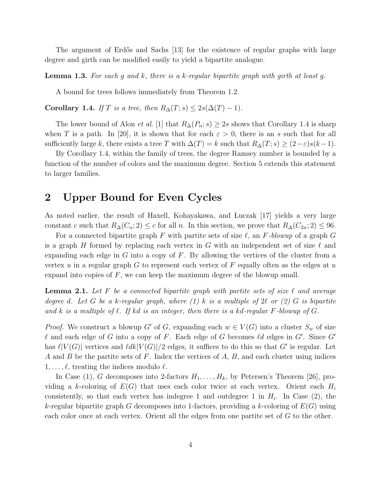The argument of Erdős and Sachs [13] for the existence of regular graphs with large degree and girth can be modified easily to yield a bipartite analogue.

**Lemma 1.3.** For each g and k, there is a k-regular bipartite graph with girth at least g.

A bound for trees follows immediately from Theorem 1.2.

Corollary 1.4. If T is a tree, then  $R_{\Delta}(T; s) \leq 2s(\Delta(T) - 1)$ .

The lower bound of Alon *et al.* [1] that  $R_{\Delta}(P_n; s) \geq 2s$  shows that Corollary 1.4 is sharp when T is a path. In [20], it is shown that for each  $\varepsilon > 0$ , there is an s such that for all sufficiently large k, there exists a tree T with  $\Delta(T) = k$  such that  $R_{\Delta}(T; s) \geq (2 - \varepsilon)s(k-1)$ .

By Corollary 1.4, within the family of trees, the degree Ramsey number is bounded by a function of the number of colors and the maximum degree. Section 5 extends this statement to larger families.

### 2 Upper Bound for Even Cycles

As noted earlier, the result of Haxell, Kohayakawa, and Luczak [17] yields a very large constant c such that  $R_{\Delta}(C_n; 2) \leq c$  for all n. In this section, we prove that  $R_{\Delta}(C_{2n}; 2) \leq 96$ .

For a connected bipartite graph F with partite sets of size  $\ell$ , an F-blowup of a graph G is a graph H formed by replacing each vertex in G with an independent set of size  $\ell$  and expanding each edge in G into a copy of  $F$ . By allowing the vertices of the cluster from a vertex u in a regular graph G to represent each vertex of  $F$  equally often as the edges at u expand into copies of  $F$ , we can keep the maximum degree of the blowup small.

**Lemma 2.1.** Let F be a connected bipartite graph with partite sets of size  $\ell$  and average degree d. Let G be a k-regular graph, where  $(1)$  k is a multiple of  $2\ell$  or  $(2)$  G is bipartite and k is a multiple of  $\ell$ . If kd is an integer, then there is a kd-regular F-blowup of G.

*Proof.* We construct a blowup G' of G, expanding each  $w \in V(G)$  into a cluster  $S_w$  of size l and each edge of G into a copy of F. Each edge of G becomes ld edges in  $G'$ . Since  $G'$ has  $\ell|V(G)|$  vertices and  $\ell dk |V(G)|/2$  edges, it suffices to do this so that  $G'$  is regular. Let A and B be the partite sets of F. Index the vertices of  $A, B$ , and each cluster using indices  $1, \ldots, \ell$ , treating the indices modulo  $\ell$ .

In Case (1), G decomposes into 2-factors  $H_1, \ldots, H_k$ , by Petersen's Theorem [26], providing a k-coloring of  $E(G)$  that uses each color twice at each vertex. Orient each  $H_i$ consistently, so that each vertex has indegree 1 and outdegree 1 in  $H_i$ . In Case (2), the k-regular bipartite graph G decomposes into 1-factors, providing a k-coloring of  $E(G)$  using each color once at each vertex. Orient all the edges from one partite set of G to the other.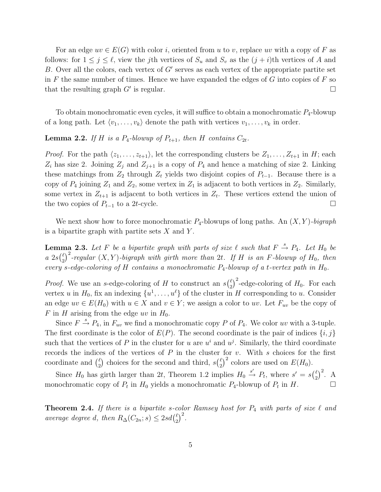For an edge  $uv \in E(G)$  with color i, oriented from u to v, replace uv with a copy of F as follows: for  $1 \leq j \leq \ell$ , view the jth vertices of  $S_u$  and  $S_v$  as the  $(j + i)$ th vertices of A and B. Over all the colors, each vertex of G' serves as each vertex of the appropriate partite set in F the same number of times. Hence we have expanded the edges of  $G$  into copies of  $F$  so that the resulting graph  $G'$  is regular.

To obtain monochromatic even cycles, it will suffice to obtain a monochromatic  $P_4$ -blowup of a long path. Let  $\langle v_1, \ldots, v_k \rangle$  denote the path with vertices  $v_1, \ldots, v_k$  in order.

#### **Lemma 2.2.** If H is a  $P_4$ -blowup of  $P_{t+1}$ , then H contains  $C_{2t}$ .

*Proof.* For the path  $\langle z_1, \ldots, z_{t+1} \rangle$ , let the corresponding clusters be  $Z_1, \ldots, Z_{t+1}$  in H; each  $Z_i$  has size 2. Joining  $Z_i$  and  $Z_{i+1}$  is a copy of  $P_4$  and hence a matching of size 2. Linking these matchings from  $Z_2$  through  $Z_t$  yields two disjoint copies of  $P_{t-1}$ . Because there is a copy of  $P_4$  joining  $Z_1$  and  $Z_2$ , some vertex in  $Z_1$  is adjacent to both vertices in  $Z_2$ . Similarly, some vertex in  $Z_{t+1}$  is adjacent to both vertices in  $Z_t$ . These vertices extend the union of the two copies of  $P_{t-1}$  to a 2t-cycle.  $□$ 

We next show how to force monochromatic  $P_4$ -blowups of long paths. An  $(X, Y)$ -bigraph is a bipartite graph with partite sets  $X$  and  $Y$ .

**Lemma 2.3.** Let F be a bipartite graph with parts of size  $\ell$  such that  $F \stackrel{s}{\rightarrow} P_4$ . Let  $H_0$  be  $a\ 2s\binom{\ell}{2}$  $\binom{\ell}{2}^2$ -regular  $(X, Y)$ -bigraph with girth more than 2t. If H is an F-blowup of H<sub>0</sub>, then every s-edge-coloring of H contains a monochromatic  $P_4$ -blowup of a t-vertex path in  $H_0$ .

*Proof.* We use an s-edge-coloring of H to construct an  $s\binom{\ell}{2}$  $\binom{\ell}{2}^2$ -edge-coloring of  $H_0$ . For each vertex u in  $H_0$ , fix an indexing  $\{u^1, \ldots, u^{\ell}\}\$  of the cluster in H corresponding to u. Consider an edge  $uv \in E(H_0)$  with  $u \in X$  and  $v \in Y$ ; we assign a color to uv. Let  $F_{uv}$  be the copy of F in H arising from the edge uv in  $H_0$ .

Since  $F \stackrel{s}{\rightarrow} P_4$ , in  $F_{uv}$  we find a monochromatic copy P of  $P_4$ . We color uv with a 3-tuple. The first coordinate is the color of  $E(P)$ . The second coordinate is the pair of indices  $\{i, j\}$ such that the vertices of P in the cluster for u are  $u^i$  and  $u^j$ . Similarly, the third coordinate records the indices of the vertices of  $P$  in the cluster for  $v$ . With  $s$  choices for the first coordinate and  $\binom{\ell}{2}$  $\binom{\ell}{2}$  choices for the second and third,  $s\binom{\ell}{2}$  $\binom{\ell}{2}^2$  colors are used on  $E(H_0)$ .

Since  $H_0$  has girth larger than 2t, Theorem 1.2 implies  $H_0 \stackrel{s'}{\rightarrow} P_t$ , where  $s' = s\left(\frac{\ell}{2}\right)$  $\binom{\ell}{2}^2$ . A monochromatic copy of  $P_t$  in  $H_0$  yields a monochromatic  $P_4$ -blowup of  $P_t$  in  $H$ .

**Theorem 2.4.** If there is a bipartite s-color Ramsey host for  $P_4$  with parts of size  $\ell$  and average degree d, then  $R_{\Delta}(C_{2n}; s) \leq 2sd(\frac{\ell}{2})$  $\binom{\ell}{2}^2$ .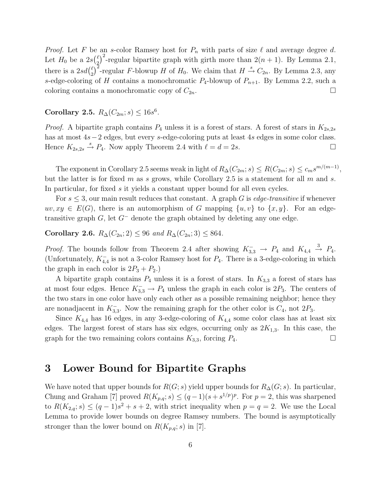*Proof.* Let F be an s-color Ramsey host for  $P_n$  with parts of size  $\ell$  and average degree d. Let  $H_0$  be a  $2s\binom{\ell}{2}$  $\binom{\ell}{2}^2$ -regular bipartite graph with girth more than  $2(n + 1)$ . By Lemma 2.1, there is a  $2sd(\frac{\ell}{2})$ <sup> $\ell$ </sup>)<sup>2</sup>-regular F-blowup H of H<sub>0</sub>. We claim that  $H \stackrel{s}{\rightarrow} C_{2n}$ . By Lemma 2.3, any s-edge-coloring of H contains a monochromatic  $P_4$ -blowup of  $P_{n+1}$ . By Lemma 2.2, such a coloring contains a monochromatic copy of  $C_{2n}$ .

## Corollary 2.5.  $R_{\Delta}(C_{2m}; s) \leq 16s^6$ .

*Proof.* A bipartite graph contains  $P_4$  unless it is a forest of stars. A forest of stars in  $K_{2s,2s}$ has at most 4s−2 edges, but every s-edge-coloring puts at least 4s edges in some color class. Hence  $K_{2s,2s} \stackrel{s}{\rightarrow} P_4$ . Now apply Theorem 2.4 with  $\ell = d = 2s$ .

The exponent in Corollary 2.5 seems weak in light of  $R_{\Delta}(C_{2m}; s) \le R(C_{2m}; s) \le c_m s^{m/(m-1)}$ , but the latter is for fixed m as s grows, while Corollary 2.5 is a statement for all m and s. In particular, for fixed s it yields a constant upper bound for all even cycles.

For  $s \leq 3$ , our main result reduces that constant. A graph G is *edge-transitive* if whenever  $uv, xy \in E(G)$ , there is an automorphism of G mapping  $\{u, v\}$  to  $\{x, y\}$ . For an edgetransitive graph  $G$ , let  $G^-$  denote the graph obtained by deleting any one edge.

Corollary 2.6.  $R_{\Delta}(C_{2n}; 2) \leq 96$  and  $R_{\Delta}(C_{2n}; 3) \leq 864$ .

*Proof.* The bounds follow from Theorem 2.4 after showing  $K_{3,3}^- \to P_4$  and  $K_{4,4} \stackrel{3}{\to} P_4$ . (Unfortunately,  $K_{4,4}^-$  is not a 3-color Ramsey host for  $P_4$ . There is a 3-edge-coloring in which the graph in each color is  $2P_3 + P_2$ .

A bipartite graph contains  $P_4$  unless it is a forest of stars. In  $K_{3,3}$  a forest of stars has at most four edges. Hence  $K_{3,3}^- \to P_4$  unless the graph in each color is  $2P_3$ . The centers of the two stars in one color have only each other as a possible remaining neighbor; hence they are nonadjacent in  $K_{3,3}^-$ . Now the remaining graph for the other color is  $C_4$ , not  $2P_3$ .

Since  $K_{4,4}$  has 16 edges, in any 3-edge-coloring of  $K_{4,4}$  some color class has at least six edges. The largest forest of stars has six edges, occurring only as  $2K_{1,3}$ . In this case, the graph for the two remaining colors contains  $K_{3,3}$ , forcing  $P_4$ .

## 3 Lower Bound for Bipartite Graphs

We have noted that upper bounds for  $R(G; s)$  yield upper bounds for  $R_{\Delta}(G; s)$ . In particular, Chung and Graham [7] proved  $R(K_{p,q}; s) \leq (q-1)(s+s^{1/p})^p$ . For  $p=2$ , this was sharpened to  $R(K_{2,q}; s) \leq (q-1)s^2 + s + 2$ , with strict inequality when  $p = q = 2$ . We use the Local Lemma to provide lower bounds on degree Ramsey numbers. The bound is asymptotically stronger than the lower bound on  $R(K_{p,q}; s)$  in [7].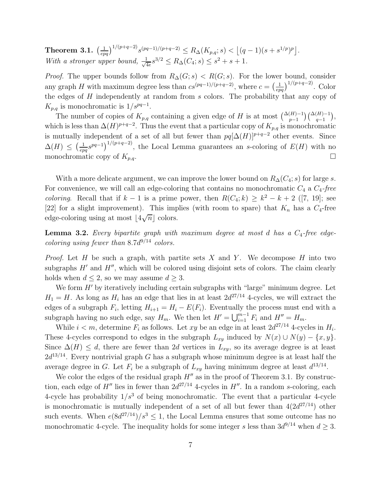Theorem 3.1.  $\left(\frac{1}{epq}\right)^{1/(p+q-2)} s^{(pq-1)/(p+q-2)} \leq R_{\Delta}(K_{p,q}; s) < \left\lfloor (q-1)(s+s^{1/p})^p \right\rfloor$ . With a stronger upper bound,  $\frac{1}{\sqrt{2}}$  $\frac{1}{4e}s^{3/2} \leq R_{\Delta}(C_4; s) \leq s^2 + s + 1.$ 

*Proof.* The upper bounds follow from  $R_{\Delta}(G; s) < R(G; s)$ . For the lower bound, consider any graph H with maximum degree less than  $cs^{(pq-1)/(p+q-2)}$ , where  $c = \left(\frac{1}{epq}\right)^{1/(p+q-2)}$ . Color the edges of H independently at random from s colors. The probability that any copy of  $K_{p,q}$  is monochromatic is  $1/s^{pq-1}$ .

The number of copies of  $K_{p,q}$  containing a given edge of H is at most  $\binom{\Delta(H)-1}{p-1}\binom{\Delta(H)-1}{q-1}$ , which is less than  $\Delta(H)^{p+q-2}$ . Thus the event that a particular copy of  $K_{p,q}$  is monochromatic is mutually independent of a set of all but fewer than  $pq[\Delta(H)]^{p+q-2}$  other events. Since  $\Delta(H) \leq \left(\frac{1}{ep}\right)$  $\frac{1}{\epsilon pq}s^{pq-1}\big)^{1/(p+q-2)}$ , the Local Lemma guarantees an s-coloring of  $E(H)$  with no monochromatic copy of  $K_{p,q}$ .

With a more delicate argument, we can improve the lower bound on  $R_{\Delta}(C_4; s)$  for large s. For convenience, we will call an edge-coloring that contains no monochromatic  $C_4$  a  $C_4$ -free *coloring*. Recall that if  $k-1$  is a prime power, then  $R(C_4; k) \geq k^2 - k + 2$  ([7, 19]; see [22] for a slight improvement). This implies (with room to spare) that  $K_n$  has a  $C_4$ -free edge-coloring using at most  $\lfloor 4\sqrt{n} \rfloor$  colors.

**Lemma 3.2.** Every bipartite graph with maximum degree at most d has a  $C_4$ -free edgecoloring using fewer than  $8.7d^{9/14}$  colors.

*Proof.* Let  $H$  be such a graph, with partite sets  $X$  and  $Y$ . We decompose  $H$  into two subgraphs  $H'$  and  $H''$ , which will be colored using disjoint sets of colors. The claim clearly holds when  $d \leq 2$ , so we may assume  $d \geq 3$ .

We form  $H'$  by iteratively including certain subgraphs with "large" minimum degree. Let  $H_1 = H$ . As long as  $H_i$  has an edge that lies in at least  $2d^{27/14}$  4-cycles, we will extract the edges of a subgraph  $F_i$ , letting  $H_{i+1} = H_i - E(F_i)$ . Eventually the process must end with a subgraph having no such edge, say  $H_m$ . We then let  $H' = \bigcup_{i=1}^{m-1} F_i$  and  $H'' = H_m$ .

While  $i < m$ , determine  $F_i$  as follows. Let  $xy$  be an edge in at least  $2d^{27/14}$  4-cycles in  $H_i$ . These 4-cycles correspond to edges in the subgraph  $L_{xy}$  induced by  $N(x) \cup N(y) - \{x, y\}.$ Since  $\Delta(H) \leq d$ , there are fewer than 2d vertices in  $L_{xy}$ , so its average degree is at least  $2d^{13/14}$ . Every nontrivial graph G has a subgraph whose minimum degree is at least half the average degree in G. Let  $F_i$  be a subgraph of  $L_{xy}$  having minimum degree at least  $d^{13/14}$ .

We color the edges of the residual graph  $H''$  as in the proof of Theorem 3.1. By construction, each edge of  $H''$  lies in fewer than  $2d^{27/14}$  4-cycles in  $H''$ . In a random s-coloring, each 4-cycle has probability  $1/s^3$  of being monochromatic. The event that a particular 4-cycle is monochromatic is mutually independent of a set of all but fewer than  $4(2d^{27/14})$  other such events. When  $e(8d^{27/14})/s^3 \leq 1$ , the Local Lemma ensures that some outcome has no monochromatic 4-cycle. The inequality holds for some integer s less than  $3d^{9/14}$  when  $d \geq 3$ .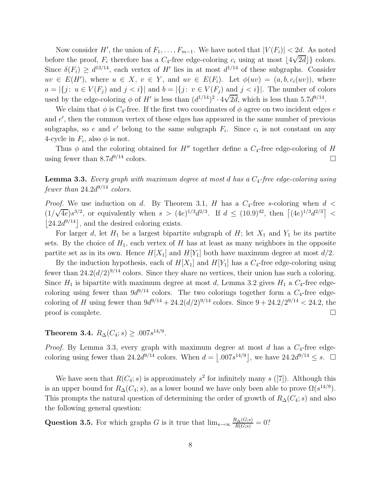Now consider H', the union of  $F_1, \ldots, F_{m-1}$ . We have noted that  $|V(F_i)| < 2d$ . As noted before the proof,  $F_i$  therefore has a  $C_4$ -free edge-coloring  $c_i$  using at most  $\lfloor 4\sqrt{2d} \rfloor$  colors. Since  $\delta(F_i) \geq d^{13/14}$ , each vertex of H' lies in at most  $d^{1/14}$  of these subgraphs. Consider  $uv \in E(H')$ , where  $u \in X$ ,  $v \in Y$ , and  $uv \in E(F_i)$ . Let  $\phi(uv) = (a, b, c_i(uv))$ , where  $a = |\{j : u \in V(F_i) \text{ and } j < i\}|$  and  $b = |\{j : v \in V(F_i) \text{ and } j < i\}|$ . The number of colors used by the edge-coloring  $\phi$  of H' is less than  $(d^{1/14})^2 \cdot 4\sqrt{2d}$ , which is less than 5.7d<sup>9/14</sup>.

We claim that  $\phi$  is  $C_4$ -free. If the first two coordinates of  $\phi$  agree on two incident edges e and e ′ , then the common vertex of these edges has appeared in the same number of previous subgraphs, so e and e' belong to the same subgraph  $F_i$ . Since  $c_i$  is not constant on any 4-cycle in  $F_i$ , also  $\phi$  is not.

Thus  $\phi$  and the coloring obtained for H<sup>''</sup> together define a  $C_4$ -free edge-coloring of H using fewer than  $8.7d^{9/14}$  colors.

**Lemma 3.3.** Every graph with maximum degree at most d has a  $C_4$ -free edge-coloring using fewer than  $24.2d^{9/14}$  colors.

*Proof.* We use induction on d. By Theorem 3.1, H has a  $C_4$ -free s-coloring when  $d <$  $(1/\sqrt{4e})s^{3/2}$ , or equivalently when  $s > (4e)^{1/3}d^{2/3}$ . If  $d \leq (10.9)^{42}$ , then  $\left[ (4e)^{1/3}d^{2/3} \right]$  <  $|24.2d^{9/14}|$ , and the desired coloring exists.

For larger d, let  $H_1$  be a largest bipartite subgraph of  $H$ ; let  $X_1$  and  $Y_1$  be its partite sets. By the choice of  $H_1$ , each vertex of H has at least as many neighbors in the opposite partite set as in its own. Hence  $H[X_1]$  and  $H[Y_1]$  both have maximum degree at most  $d/2$ .

By the induction hypothesis, each of  $H[X_1]$  and  $H[Y_1]$  has a  $C_4$ -free edge-coloring using fewer than  $24.2(d/2)^{9/14}$  colors. Since they share no vertices, their union has such a coloring. Since  $H_1$  is bipartite with maximum degree at most d, Lemma 3.2 gives  $H_1$  a  $C_4$ -free edgecoloring using fewer than  $9d^{9/14}$  colors. The two colorings together form a  $C_4$ -free edgecoloring of H using fewer than  $9d^{9/14} + 24.2(d/2)^{9/14}$  colors. Since  $9 + 24.2/2^{9/14} < 24.2$ , the proof is complete.  $\Box$ 

Theorem 3.4.  $R_{\Delta}(C_4; s) \geq .007s^{14/9}$ .

*Proof.* By Lemma 3.3, every graph with maximum degree at most d has a  $C_4$ -free edgecoloring using fewer than 24.2 $d^{9/14}$  colors. When  $d = \lfloor .007s^{14/9} \rfloor$ , we have  $24.2d^{9/14} \leq s$ .  $\Box$ 

We have seen that  $R(C_4; s)$  is approximately  $s^2$  for infinitely many  $s([7])$ . Although this is an upper bound for  $R_{\Delta}(C_4; s)$ , as a lower bound we have only been able to prove  $\Omega(s^{14/9})$ . This prompts the natural question of determining the order of growth of  $R_{\Delta}(C_4; s)$  and also the following general question:

Question 3.5. For which graphs G is it true that  $\lim_{s\to\infty} \frac{R_{\Delta}(G;s)}{R(G;s)} = 0$ ?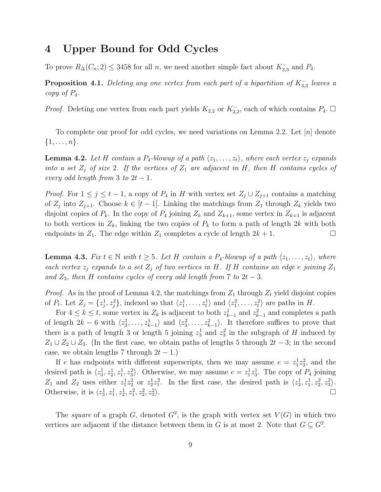## 4 Upper Bound for Odd Cycles

To prove  $R_{\Delta}(C_n; 2) \leq 3458$  for all n, we need another simple fact about  $K_{3,3}^-$  and  $P_4$ .

**Proposition 4.1.** Deleting any one vertex from each part of a bipartition of  $K_{3,3}^-$  leaves a copy of  $P_4$ .

*Proof.* Deleting one vertex from each part yields  $K_{2,2}$  or  $K_{2,2}^-$ , each of which contains  $P_4$ .  $\Box$ 

To complete our proof for odd cycles, we need variations on Lemma 2.2. Let [n] denote  $\{1,\ldots,n\}.$ 

**Lemma 4.2.** Let H contain a P<sub>4</sub>-blowup of a path  $\langle z_1, \ldots, z_t \rangle$ , where each vertex  $z_i$  expands into a set  $Z_i$  of size 2. If the vertices of  $Z_1$  are adjacent in H, then H contains cycles of every odd length from 3 to  $2t-1$ .

*Proof.* For  $1 \leq j \leq t-1$ , a copy of  $P_4$  in H with vertex set  $Z_j \cup Z_{j+1}$  contains a matching of  $Z_j$  into  $Z_{j+1}$ . Choose  $k \in [t-1]$ . Linking the matchings from  $Z_1$  through  $Z_k$  yields two disjoint copies of  $P_k$ . In the copy of  $P_4$  joining  $Z_k$  and  $Z_{k+1}$ , some vertex in  $Z_{k+1}$  is adjacent to both vertices in  $Z_k$ , linking the two copies of  $P_k$  to form a path of length 2k with both endpoints in  $Z_1$ . The edge within  $Z_1$  completes a cycle of length  $2k + 1$ .

**Lemma 4.3.** Fix  $t \in \mathbb{N}$  with  $t \geq 5$ . Let H contain a P<sub>4</sub>-blowup of a path  $\langle z_1, \ldots, z_t \rangle$ , where each vertex  $z_j$  expands to a set  $Z_j$  of two vertices in H. If H contains an edge e joining  $Z_1$ and  $Z_3$ , then H contains cycles of every odd length from 7 to 2t – 3.

*Proof.* As in the proof of Lemma 4.2, the matchings from  $Z_1$  through  $Z_t$  yield disjoint copies of  $P_t$ . Let  $Z_j = \{z_j^1, z_j^2\}$ , indexed so that  $\langle z_1^1, \ldots, z_t^1 \rangle$  and  $\langle z_1^2, \ldots, z_t^2 \rangle$  are paths in  $H$ .

For  $4 \leq k \leq t$ , some vertex in  $Z_k$  is adjacent to both  $z_{k-1}^1$  and  $z_{k-1}^2$  and completes a path of length  $2k-6$  with  $\langle z_3^1, \ldots, z_{k-1}^1 \rangle$  and  $\langle z_3^2, \ldots, z_{k-1}^2 \rangle$ . It therefore suffices to prove that there is a path of length 3 or length 5 joining  $z_3^1$  and  $z_3^2$  in the subgraph of H induced by  $Z_1 \cup Z_2 \cup Z_3$ . (In the first case, we obtain paths of lengths 5 through  $2t - 3$ ; in the second case, we obtain lengths 7 through  $2t - 1$ .)

If e has endpoints with different superscripts, then we may assume  $e = z_1^1 z_3^2$ , and the desired path is  $\langle z_3^1, z_2^1, z_3^2 \rangle$ . Otherwise, we may assume  $e = z_1^1 z_3^1$ . The copy of  $P_4$  joining  $Z_1$  and  $Z_2$  uses either  $z_1^1 z_2^2$  or  $z_2^1 z_1^2$ . In the first case, the desired path is  $\langle z_3^1, z_1^1, z_2^2, z_3^2 \rangle$ . Otherwise, it is  $\langle z_3^1, z_1^1, z_2^1, z_1^2, z_2^2, z_3^2 \rangle$ ).  $\Box$ 

The square of a graph G, denoted  $G^2$ , is the graph with vertex set  $V(G)$  in which two vertices are adjacent if the distance between them in G is at most 2. Note that  $G \subseteq G^2$ .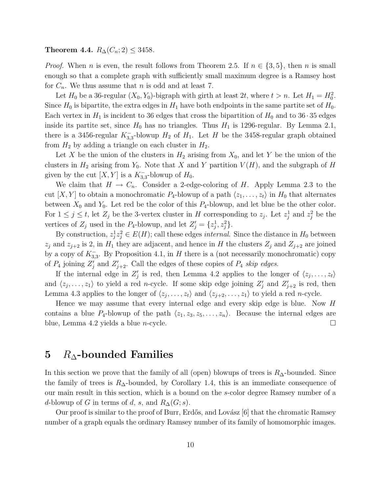Theorem 4.4.  $R_{\Delta}(C_n; 2) \leq 3458$ .

*Proof.* When n is even, the result follows from Theorem 2.5. If  $n \in \{3, 5\}$ , then n is small enough so that a complete graph with sufficiently small maximum degree is a Ramsey host for  $C_n$ . We thus assume that n is odd and at least 7.

Let  $H_0$  be a 36-regular  $(X_0, Y_0)$ -bigraph with girth at least 2t, where  $t > n$ . Let  $H_1 = H_0^2$ . Since  $H_0$  is bipartite, the extra edges in  $H_1$  have both endpoints in the same partite set of  $H_0$ . Each vertex in  $H_1$  is incident to 36 edges that cross the bipartition of  $H_0$  and to 36 · 35 edges inside its partite set, since  $H_0$  has no triangles. Thus  $H_1$  is 1296-regular. By Lemma 2.1, there is a 3456-regular  $K_{3,3}^-$ -blowup  $H_2$  of  $H_1$ . Let H be the 3458-regular graph obtained from  $H_2$  by adding a triangle on each cluster in  $H_2$ .

Let X be the union of the clusters in  $H_2$  arising from  $X_0$ , and let Y be the union of the clusters in  $H_2$  arising from  $Y_0$ . Note that X and Y partition  $V(H)$ , and the subgraph of H given by the cut  $[X, Y]$  is a  $K_{3,3}^-$ -blowup of  $H_0$ .

We claim that  $H \to C_n$ . Consider a 2-edge-coloring of H. Apply Lemma 2.3 to the cut  $[X, Y]$  to obtain a monochromatic  $P_4$ -blowup of a path  $\langle z_1, \ldots, z_t \rangle$  in  $H_0$  that alternates between  $X_0$  and  $Y_0$ . Let red be the color of this  $P_4$ -blowup, and let blue be the other color. For  $1 \leq j \leq t$ , let  $Z_j$  be the 3-vertex cluster in H corresponding to  $z_j$ . Let  $z_j^1$  and  $z_j^2$  be the vertices of  $Z_j$  used in the  $P_4$ -blowup, and let  $Z'_j = \{z_j^1, z_j^2\}.$ 

By construction,  $z_j^1 z_j^2 \in E(H)$ ; call these edges *internal*. Since the distance in  $H_0$  between  $z_j$  and  $z_{j+2}$  is 2, in  $H_1$  they are adjacent, and hence in H the clusters  $Z_j$  and  $Z_{j+2}$  are joined by a copy of  $K_{3,3}^-$ . By Proposition 4.1, in H there is a (not necessarily monochromatic) copy of  $P_4$  joining  $Z'_j$  and  $Z'_{j+2}$ . Call the edges of these copies of  $P_4$  skip edges.

If the internal edge in  $Z'_j$  is red, then Lemma 4.2 applies to the longer of  $\langle z_j, \ldots, z_t \rangle$ and  $\langle z_j, \ldots, z_1 \rangle$  to yield a red *n*-cycle. If some skip edge joining  $Z'_j$  and  $Z'_{j+2}$  is red, then Lemma 4.3 applies to the longer of  $\langle z_j, \ldots, z_t \rangle$  and  $\langle z_{j+2}, \ldots, z_1 \rangle$  to yield a red n-cycle.

Hence we may assume that every internal edge and every skip edge is blue. Now H contains a blue  $P_4$ -blowup of the path  $\langle z_1, z_3, z_5, \ldots, z_n \rangle$ . Because the internal edges are blue, Lemma 4.2 yields a blue *n*-cycle.

## 5  $R_{\Lambda}$ -bounded Families

In this section we prove that the family of all (open) blowups of trees is  $R_{\Delta}$ -bounded. Since the family of trees is  $R_{\Delta}$ -bounded, by Corollary 1.4, this is an immediate consequence of our main result in this section, which is a bound on the s-color degree Ramsey number of a d-blowup of G in terms of d, s, and  $R_{\Delta}(G; s)$ .

Our proof is similar to the proof of Burr, Erdős, and Lovász [6] that the chromatic Ramsey number of a graph equals the ordinary Ramsey number of its family of homomorphic images.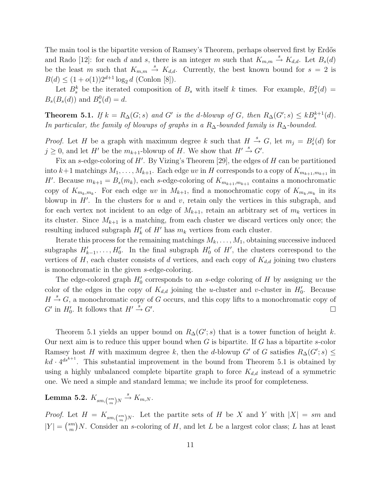The main tool is the bipartite version of Ramsey's Theorem, perhaps observed first by Erdős and Rado [12]: for each d and s, there is an integer m such that  $K_{m,m} \stackrel{s}{\rightarrow} K_{d,d}$ . Let  $B_s(d)$ be the least m such that  $K_{m,m} \stackrel{s}{\rightarrow} K_{d,d}$ . Currently, the best known bound for  $s = 2$  is  $B(d) \leq (1 + o(1))2^{d+1} \log_2 d$  (Conlon [8]).

Let  $B_s^k$  be the iterated composition of  $B_s$  with itself k times. For example,  $B_s^2(d)$  =  $B_s(B_s(d))$  and  $B_s^0(d) = d$ .

**Theorem 5.1.** If  $k = R_{\Delta}(G; s)$  and G' is the d-blowup of G, then  $R_{\Delta}(G'; s) \leq kB_s^{k+1}(d)$ . In particular, the family of blowups of graphs in a R∆-bounded family is R∆-bounded.

*Proof.* Let H be a graph with maximum degree k such that  $H \stackrel{s}{\rightarrow} G$ , let  $m_j = B_s^j(d)$  for  $j \geq 0$ , and let H' be the  $m_{k+1}$ -blowup of H. We show that  $H' \stackrel{s}{\rightarrow} G'$ .

Fix an s-edge-coloring of H'. By Vizing's Theorem [29], the edges of H can be partitioned into  $k+1$  matchings  $M_1, \ldots, M_{k+1}$ . Each edge uv in H corresponds to a copy of  $K_{m_{k+1},m_{k+1}}$  in H'. Because  $m_{k+1} = B_s(m_k)$ , each s-edge-coloring of  $K_{m_{k+1},m_{k+1}}$  contains a monochromatic copy of  $K_{m_k,m_k}$ . For each edge uv in  $M_{k+1}$ , find a monochromatic copy of  $K_{m_k,m_k}$  in its blowup in  $H'$ . In the clusters for u and v, retain only the vertices in this subgraph, and for each vertex not incident to an edge of  $M_{k+1}$ , retain an arbitrary set of  $m_k$  vertices in its cluster. Since  $M_{k+1}$  is a matching, from each cluster we discard vertices only once; the resulting induced subgraph  $H'_{k}$  of  $H'$  has  $m_{k}$  vertices from each cluster.

Iterate this process for the remaining matchings  $M_k, \ldots, M_1$ , obtaining successive induced subgraphs  $H'_{k-1}, \ldots, H'_{0}$ . In the final subgraph  $H'_{0}$  of  $H'$ , the clusters correspond to the vertices of H, each cluster consists of d vertices, and each copy of  $K_{d,d}$  joining two clusters is monochromatic in the given s-edge-coloring.

The edge-colored graph  $H'_0$  corresponds to an s-edge coloring of H by assigning uv the color of the edges in the copy of  $K_{d,d}$  joining the u-cluster and v-cluster in  $H'_0$ . Because  $H \stackrel{s}{\rightarrow} G$ , a monochromatic copy of G occurs, and this copy lifts to a monochromatic copy of  $G'$  in  $H'_0$ . It follows that  $H' \stackrel{s}{\rightarrow} G'$ . In the contract of the contract of the contract of the contract of the contract of the contract of the contract of the contract of the contract of the contract of the contract of the contract of the contract of the contr

Theorem 5.1 yields an upper bound on  $R_{\Delta}(G'; s)$  that is a tower function of height k. Our next aim is to reduce this upper bound when  $G$  is bipartite. If  $G$  has a bipartite s-color Ramsey host H with maximum degree k, then the d-blowup G' of G satisfies  $R_{\Delta}(G';s) \leq$  $kd \cdot 4^{ds^{k+1}}$ . This substantial improvement in the bound from Theorem 5.1 is obtained by using a highly unbalanced complete bipartite graph to force  $K_{d,d}$  instead of a symmetric one. We need a simple and standard lemma; we include its proof for completeness.

Lemma 5.2.  $K_{sm, \binom{sm}{m}N}$   $\stackrel{s}{\rightarrow}$   $K_{m,N}$ .

*Proof.* Let  $H = K_{sm, \binom{sm}{m}N}$ . Let the partite sets of H be X and Y with  $|X| = sm$  and  $|Y| = \binom{sm}{m}$  $\binom{sm}{m}$  N. Consider an *s*-coloring of H, and let L be a largest color class; L has at least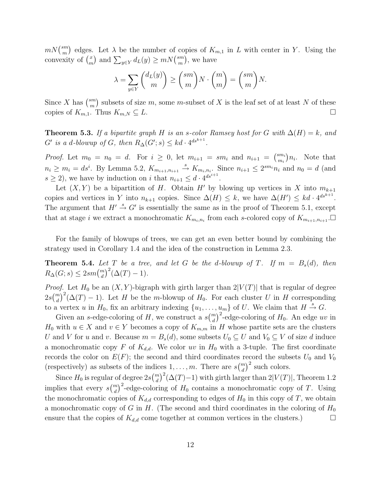$mN\binom{sm}{m}$  $\binom{sm}{m}$  edges. Let  $\lambda$  be the number of copies of  $K_{m,1}$  in L with center in Y. Using the convexity of  $\binom{x}{m}$  $\binom{x}{m}$  and  $\sum_{y \in Y} d_L(y) \ge mN \binom{sm}{m}$  $\binom{sm}{m}$ , we have

$$
\lambda = \sum_{y \in Y} \binom{d_L(y)}{m} \ge \binom{sm}{m} N \cdot \binom{m}{m} = \binom{sm}{m} N.
$$

Since X has  $\binom{sm}{m}$  $\binom{sm}{m}$  subsets of size m, some m-subset of X is the leaf set of at least N of these copies of  $K_{m,1}$ . Thus  $K_{m,N} \subseteq L$ .

**Theorem 5.3.** If a bipartite graph H is an s-color Ramsey host for G with  $\Delta(H) = k$ , and  $G'$  is a d-blowup of  $G$ , then  $R_{\Delta}(G'; s) \leq kd \cdot 4^{ds^{k+1}}$ .

*Proof.* Let  $m_0 = n_0 = d$ . For  $i \ge 0$ , let  $m_{i+1} = sm_i$  and  $n_{i+1} = {sm_i \choose m_i}$  $\binom{sm_i}{m_i}n_i$ . Note that  $n_i \geq m_i = ds^i$ . By Lemma 5.2,  $K_{m_{i+1},n_{i+1}} \stackrel{s}{\rightarrow} K_{m_i,n_i}$ . Since  $n_{i+1} \leq 2^{sm_i} n_i$  and  $n_0 = d$  (and  $s \geq 2$ , we have by induction on i that  $n_{i+1} \leq d \cdot 4^{ds^{i+1}}$ .

Let  $(X, Y)$  be a bipartition of H. Obtain H' by blowing up vertices in X into  $m_{k+1}$ copies and vertices in Y into  $n_{k+1}$  copies. Since  $\Delta(H) \leq k$ , we have  $\Delta(H') \leq kd \cdot 4^{ds^{k+1}}$ . The argument that  $H' \stackrel{s}{\rightarrow} G'$  is essentially the same as in the proof of Theorem 5.1, except that at stage i we extract a monochromatic  $K_{m_i,n_i}$  from each s-colored copy of  $K_{m_{i+1},n_{i+1}}$ .

For the family of blowups of trees, we can get an even better bound by combining the strategy used in Corollary 1.4 and the idea of the construction in Lemma 2.3.

**Theorem 5.4.** Let T be a tree, and let G be the d-blowup of T. If  $m = B_s(d)$ , then  $R_{\Delta}(G; s) \leq 2sm{m \choose d}^2(\Delta(T) - 1).$ 

*Proof.* Let  $H_0$  be an  $(X, Y)$ -bigraph with girth larger than  $2|V(T)|$  that is regular of degree  $2s\binom{m}{d}^2(\Delta(T)-1)$ . Let H be the m-blowup of H<sub>0</sub>. For each cluster U in H corresponding to a vertex u in  $H_0$ , fix an arbitrary indexing  $\{u_1, \ldots, u_m\}$  of U. We claim that  $H \stackrel{s}{\rightarrow} G$ .

Given an s-edge-coloring of H, we construct a  $s\binom{m}{d}^2$ -edge-coloring of H<sub>0</sub>. An edge uv in  $H_0$  with  $u \in X$  and  $v \in Y$  becomes a copy of  $K_{m,m}$  in H whose partite sets are the clusters U and V for u and v. Because  $m = B_s(d)$ , some subsets  $U_0 \subseteq U$  and  $V_0 \subseteq V$  of size d induce a monochromatic copy F of  $K_{d,d}$ . We color uv in  $H_0$  with a 3-tuple. The first coordinate records the color on  $E(F)$ ; the second and third coordinates record the subsets  $U_0$  and  $V_0$ (respectively) as subsets of the indices  $1, \ldots, m$ . There are  $s {m \choose d}^2$  such colors.

Since  $H_0$  is regular of degree  $2s\binom{m}{d}^2(\Delta(T)-1)$  with girth larger than  $2|V(T)|$ , Theorem 1.2 implies that every  $s\binom{m}{d}^2$ -edge-coloring of  $H_0$  contains a monochromatic copy of T. Using the monochromatic copies of  $K_{d,d}$  corresponding to edges of  $H_0$  in this copy of T, we obtain a monochromatic copy of G in H. (The second and third coordinates in the coloring of  $H_0$ ) ensure that the copies of  $K_{d,d}$  come together at common vertices in the clusters.)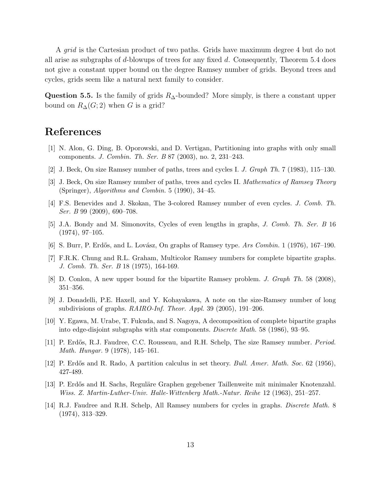A *grid* is the Cartesian product of two paths. Grids have maximum degree 4 but do not all arise as subgraphs of d-blowups of trees for any fixed  $d$ . Consequently, Theorem 5.4 does not give a constant upper bound on the degree Ramsey number of grids. Beyond trees and cycles, grids seem like a natural next family to consider.

Question 5.5. Is the family of grids  $R_{\Delta}$ -bounded? More simply, is there a constant upper bound on  $R_{\Delta}(G; 2)$  when G is a grid?

## References

- [1] N. Alon, G. Ding, B. Oporowski, and D. Vertigan, Partitioning into graphs with only small components. J. Combin. Th. Ser. B 87 (2003), no. 2, 231–243.
- [2] J. Beck, On size Ramsey number of paths, trees and cycles I. J. Graph Th. 7 (1983), 115–130.
- [3] J. Beck, On size Ramsey number of paths, trees and cycles II. Mathematics of Ramsey Theory (Springer), Algorithms and Combin. 5 (1990), 34–45.
- [4] F.S. Benevides and J. Skokan, The 3-colored Ramsey number of even cycles. J. Comb. Th. Ser. B 99 (2009), 690–708.
- [5] J.A. Bondy and M. Simonovits, Cycles of even lengths in graphs, J. Comb. Th. Ser. B 16 (1974), 97–105.
- [6] S. Burr, P. Erdős, and L. Lovász, On graphs of Ramsey type. Ars Combin. 1 (1976), 167–190.
- [7] F.R.K. Chung and R.L. Graham, Multicolor Ramsey numbers for complete bipartite graphs. J. Comb. Th. Ser. B 18 (1975), 164-169.
- [8] D. Conlon, A new upper bound for the bipartite Ramsey problem. J. Graph Th. 58 (2008), 351–356.
- [9] J. Donadelli, P.E. Haxell, and Y. Kohayakawa, A note on the size-Ramsey number of long subdivisions of graphs. RAIRO-Inf. Theor. Appl. 39 (2005), 191–206.
- [10] Y. Egawa, M. Urabe, T. Fukuda, and S. Nagoya, A decomposition of complete bipartite graphs into edge-disjoint subgraphs with star components. Discrete Math. 58 (1986), 93–95.
- [11] P. Erdős, R.J. Faudree, C.C. Rousseau, and R.H. Schelp, The size Ramsey number. *Period.* Math. Hungar. 9 (1978), 145–161.
- [12] P. Erdős and R. Rado, A partition calculus in set theory. *Bull. Amer. Math. Soc.* 62 (1956), 427-489.
- [13] P. Erdős and H. Sachs, Reguläre Graphen gegebener Taillenweite mit minimaler Knotenzahl. Wiss. Z. Martin-Luther-Univ. Halle-Wittenberg Math.-Natur. Reihe 12 (1963), 251–257.
- [14] R.J. Faudree and R.H. Schelp, All Ramsey numbers for cycles in graphs. Discrete Math. 8 (1974), 313–329.